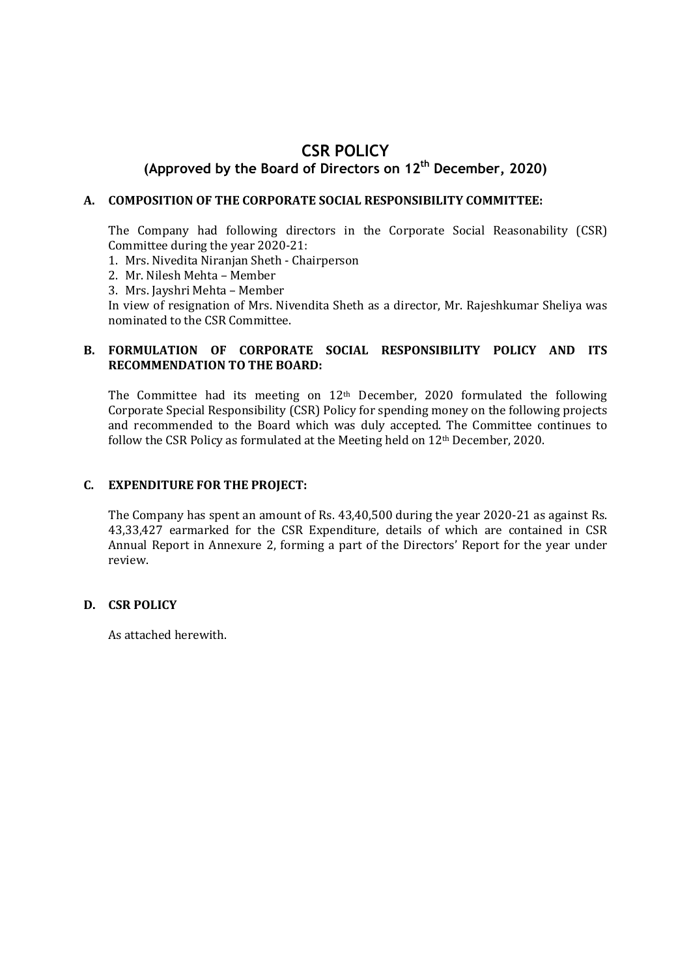# **CSR POLICY (Approved by the Board of Directors on 12th December, 2020)**

#### A. COMPOSITION OF THE CORPORATE SOCIAL RESPONSIBILITY COMMITTEE:

The Company had following directors in the Corporate Social Reasonability (CSR) Committee during the year 2020-21:

- 1. Mrs. Nivedita Niranjan Sheth Chairperson
- 2. Mr. Nilesh Mehta Member
- 3. Mrs. Jayshri Mehta Member

In view of resignation of Mrs. Nivendita Sheth as a director, Mr. Rajeshkumar Sheliya was nominated to the CSR Committee.

#### **B. FORMULATION OF CORPORATE SOCIAL RESPONSIBILITY POLICY AND ITS RECOMMENDATION TO THE BOARD:**

The Committee had its meeting on  $12<sup>th</sup>$  December, 2020 formulated the following Corporate Special Responsibility (CSR) Policy for spending money on the following projects and recommended to the Board which was duly accepted. The Committee continues to follow the CSR Policy as formulated at the Meeting held on 12<sup>th</sup> December, 2020.

#### **C. EXPENDITURE FOR THE PROJECT:**

The Company has spent an amount of Rs. 43,40,500 during the year 2020-21 as against Rs. 43,33,427 earmarked for the CSR Expenditure, details of which are contained in CSR Annual Report in Annexure 2, forming a part of the Directors' Report for the year under review.

#### **D.** CSR POLICY

As attached herewith.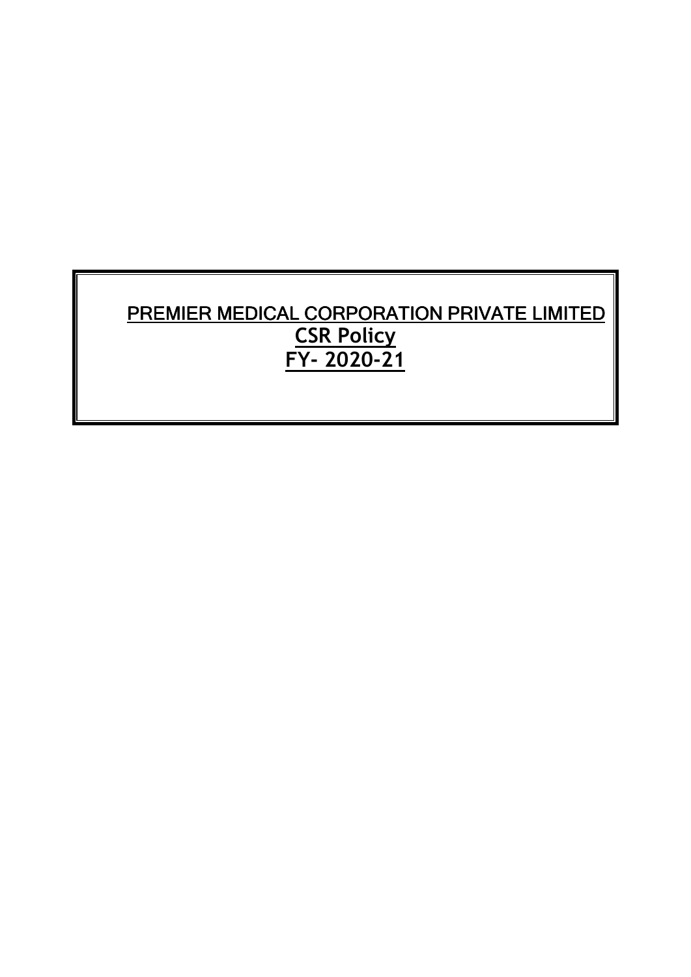# PREMIER MEDICAL CORPORATION PRIVATE LIMITED **CSR Policy FY- 2020-21**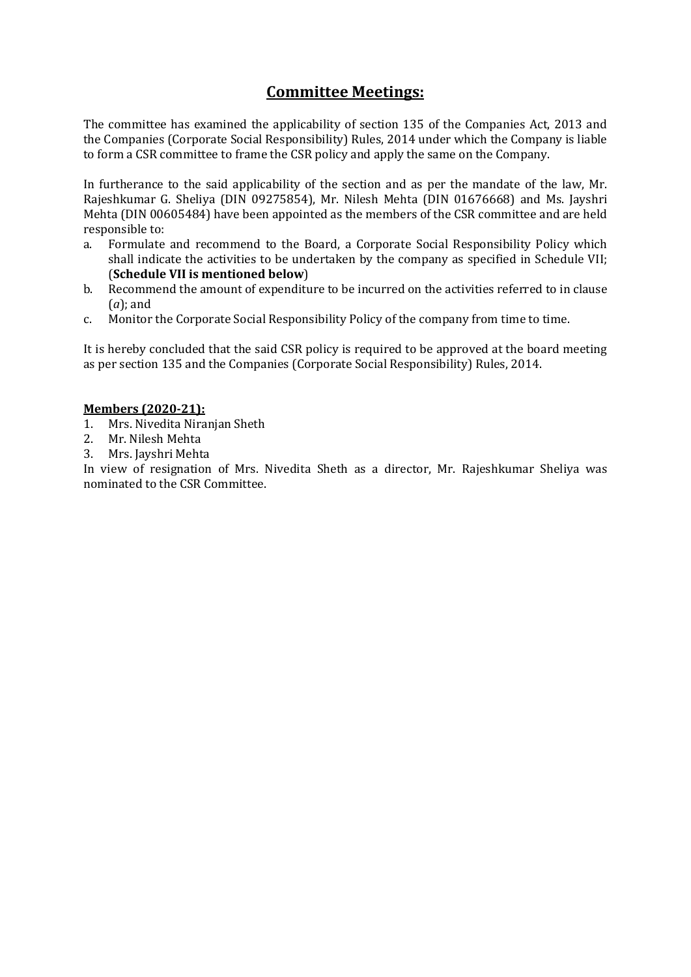# **Committee Meetings:**

The committee has examined the applicability of section 135 of the Companies Act, 2013 and the Companies (Corporate Social Responsibility) Rules, 2014 under which the Company is liable to form a CSR committee to frame the CSR policy and apply the same on the Company.

In furtherance to the said applicability of the section and as per the mandate of the law, Mr. Rajeshkumar G. Sheliya (DIN 09275854), Mr. Nilesh Mehta (DIN 01676668) and Ms. Jayshri Mehta (DIN 00605484) have been appointed as the members of the CSR committee and are held responsible to:

- a. Formulate and recommend to the Board, a Corporate Social Responsibility Policy which shall indicate the activities to be undertaken by the company as specified in Schedule VII; (**Schedule VII is mentioned below**)
- b. Recommend the amount of expenditure to be incurred on the activities referred to in clause (*a*); and
- c. Monitor the Corporate Social Responsibility Policy of the company from time to time.

It is hereby concluded that the said CSR policy is required to be approved at the board meeting as per section 135 and the Companies (Corporate Social Responsibility) Rules, 2014.

#### **Members** (2020-21):

- 1. Mrs. Nivedita Niranjan Sheth
- 2. Mr. Nilesh Mehta
- 3. Mrs. Jayshri Mehta

In view of resignation of Mrs. Nivedita Sheth as a director, Mr. Rajeshkumar Sheliya was nominated to the CSR Committee.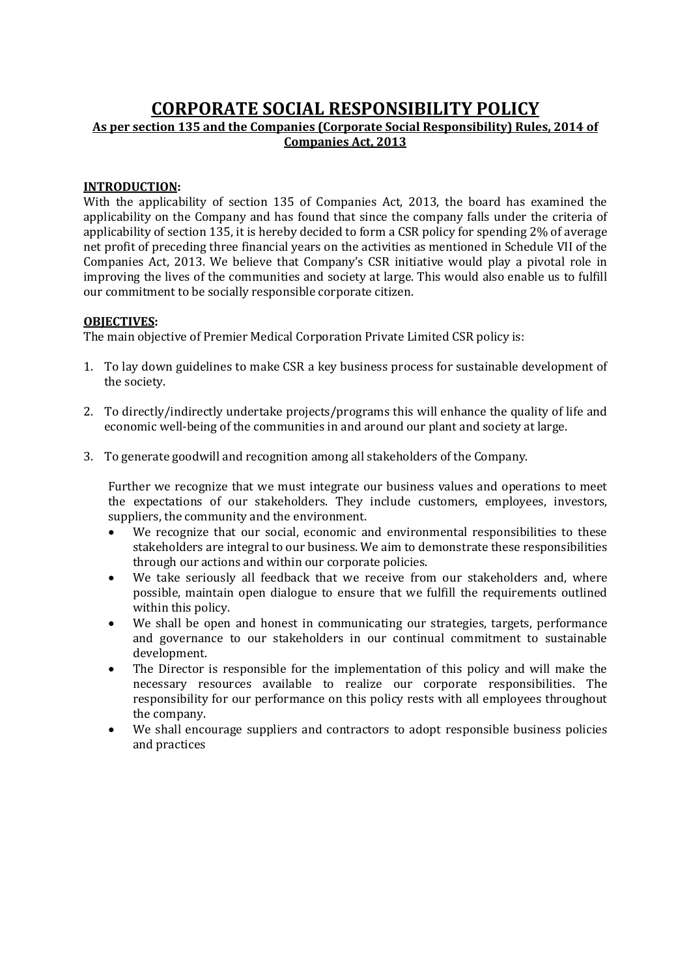# **CORPORATE SOCIAL RESPONSIBILITY POLICY** As per section 135 and the Companies (Corporate Social Responsibility) Rules, 2014 of Companies Act, 2013

#### **INTRODUCTION:**

With the applicability of section 135 of Companies Act, 2013, the board has examined the applicability on the Company and has found that since the company falls under the criteria of applicability of section 135, it is hereby decided to form a CSR policy for spending 2% of average net profit of preceding three financial years on the activities as mentioned in Schedule VII of the Companies Act, 2013. We believe that Company's CSR initiative would play a pivotal role in improving the lives of the communities and society at large. This would also enable us to fulfill our commitment to be socially responsible corporate citizen.

#### **OBJECTIVES:**

The main objective of Premier Medical Corporation Private Limited CSR policy is:

- 1. To lay down guidelines to make CSR a key business process for sustainable development of the society.
- 2. To directly/indirectly undertake projects/programs this will enhance the quality of life and economic well-being of the communities in and around our plant and society at large.
- 3. To generate goodwill and recognition among all stakeholders of the Company.

Further we recognize that we must integrate our business values and operations to meet the expectations of our stakeholders. They include customers, employees, investors, suppliers, the community and the environment.

- We recognize that our social, economic and environmental responsibilities to these stakeholders are integral to our business. We aim to demonstrate these responsibilities through our actions and within our corporate policies.
- We take seriously all feedback that we receive from our stakeholders and, where possible, maintain open dialogue to ensure that we fulfill the requirements outlined within this policy.
- We shall be open and honest in communicating our strategies, targets, performance and governance to our stakeholders in our continual commitment to sustainable development.
- The Director is responsible for the implementation of this policy and will make the necessary resources available to realize our corporate responsibilities. The responsibility for our performance on this policy rests with all employees throughout the company.
- We shall encourage suppliers and contractors to adopt responsible business policies and practices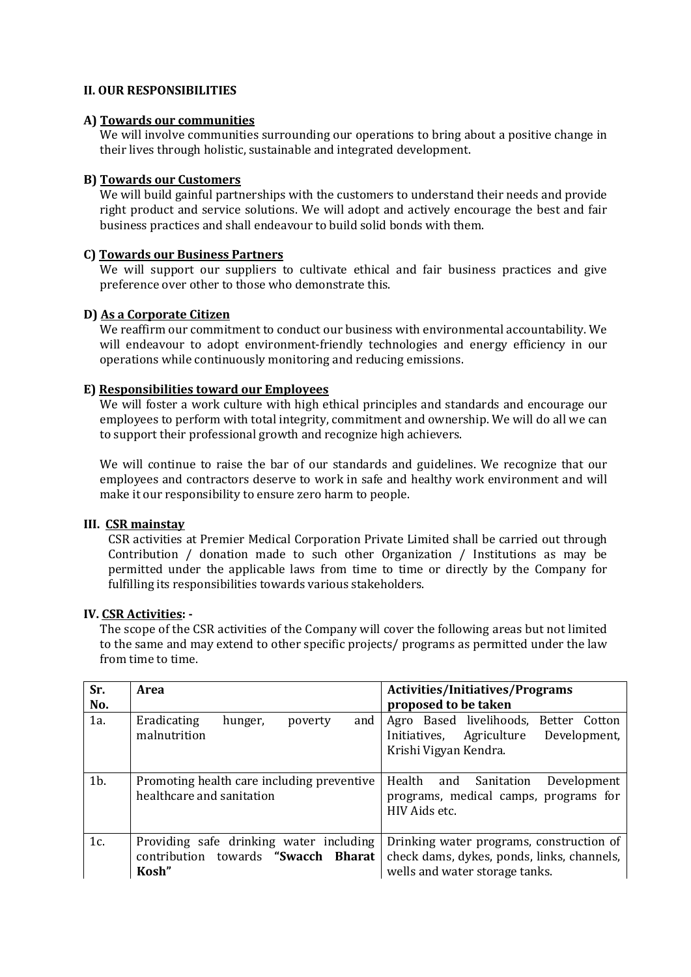#### **II. OUR RESPONSIBILITIES**

#### **A) Towards our communities**

We will involve communities surrounding our operations to bring about a positive change in their lives through holistic, sustainable and integrated development.

#### **B) Towards our Customers**

We will build gainful partnerships with the customers to understand their needs and provide right product and service solutions. We will adopt and actively encourage the best and fair business practices and shall endeavour to build solid bonds with them.

#### **C) Towards our Business Partners**

We will support our suppliers to cultivate ethical and fair business practices and give preference over other to those who demonstrate this.

#### **D) As a Corporate Citizen**

We reaffirm our commitment to conduct our business with environmental accountability. We will endeavour to adopt environment-friendly technologies and energy efficiency in our operations while continuously monitoring and reducing emissions.

#### **E) Responsibilities toward our Employees**

We will foster a work culture with high ethical principles and standards and encourage our employees to perform with total integrity, commitment and ownership. We will do all we can to support their professional growth and recognize high achievers.

We will continue to raise the bar of our standards and guidelines. We recognize that our employees and contractors deserve to work in safe and healthy work environment and will make it our responsibility to ensure zero harm to people.

#### **III. CSR mainstay**

CSR activities at Premier Medical Corporation Private Limited shall be carried out through Contribution / donation made to such other Organization / Institutions as may be permitted under the applicable laws from time to time or directly by the Company for fulfilling its responsibilities towards various stakeholders.

#### **IV. CSR Activities: -**

The scope of the CSR activities of the Company will cover the following areas but not limited to the same and may extend to other specific projects/ programs as permitted under the law from time to time.

| Sr.<br>No. | <b>Area</b>                                                                             | <b>Activities/Initiatives/Programs</b><br>proposed to be taken                                                           |
|------------|-----------------------------------------------------------------------------------------|--------------------------------------------------------------------------------------------------------------------------|
| 1a.        | Eradicating<br>and l<br>poverty<br>hunger,<br>malnutrition                              | Agro Based livelihoods, Better Cotton<br>Initiatives, Agriculture<br>Development,<br>Krishi Vigyan Kendra.               |
| $1b$ .     | Promoting health care including preventive<br>healthcare and sanitation                 | Development<br>Health<br>Sanitation<br>and<br>programs, medical camps, programs for<br>HIV Aids etc.                     |
| 1c.        | Providing safe drinking water including<br>contribution towards "Swacch Bharat<br>Kosh" | Drinking water programs, construction of<br>check dams, dykes, ponds, links, channels,<br>wells and water storage tanks. |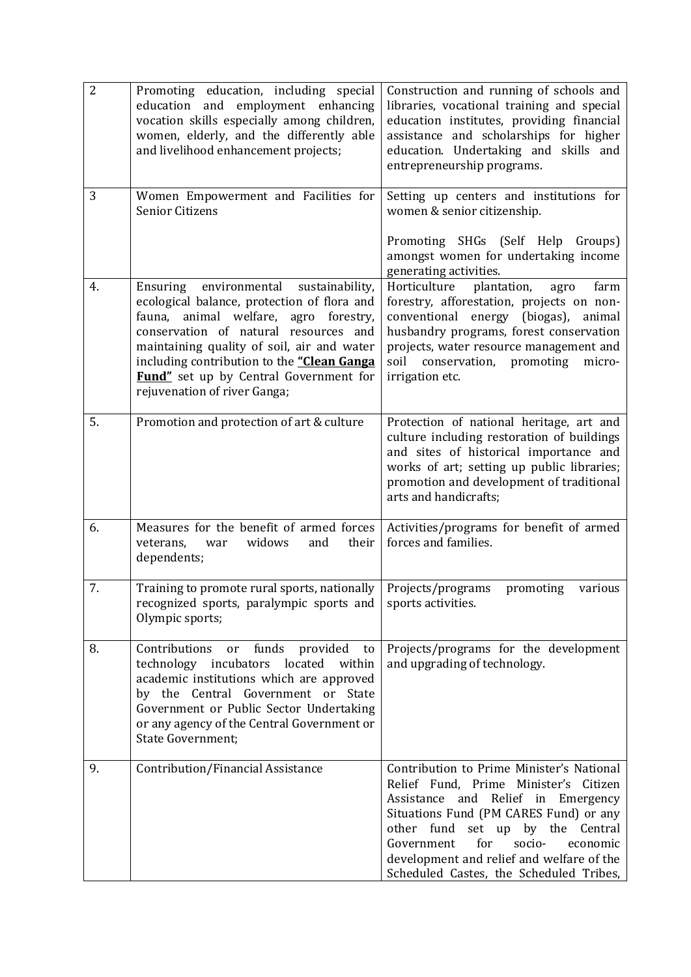| $\overline{2}$ | Promoting education, including special<br>education and employment enhancing<br>vocation skills especially among children,<br>women, elderly, and the differently able<br>and livelihood enhancement projects;                                                                                                                                               | Construction and running of schools and<br>libraries, vocational training and special<br>education institutes, providing financial<br>assistance and scholarships for higher<br>education. Undertaking and skills and<br>entrepreneurship programs.                                                                                       |
|----------------|--------------------------------------------------------------------------------------------------------------------------------------------------------------------------------------------------------------------------------------------------------------------------------------------------------------------------------------------------------------|-------------------------------------------------------------------------------------------------------------------------------------------------------------------------------------------------------------------------------------------------------------------------------------------------------------------------------------------|
| 3              | Women Empowerment and Facilities for<br><b>Senior Citizens</b>                                                                                                                                                                                                                                                                                               | Setting up centers and institutions for<br>women & senior citizenship.                                                                                                                                                                                                                                                                    |
|                |                                                                                                                                                                                                                                                                                                                                                              | Promoting SHGs (Self Help<br>Groups)<br>amongst women for undertaking income<br>generating activities.                                                                                                                                                                                                                                    |
| 4.             | environmental<br>Ensuring<br>sustainability,<br>ecological balance, protection of flora and<br>animal welfare,<br>agro<br>forestry,<br>fauna,<br>conservation of natural resources and<br>maintaining quality of soil, air and water<br>including contribution to the "Clean Ganga<br>Fund" set up by Central Government for<br>rejuvenation of river Ganga; | Horticulture<br>plantation,<br>farm<br>agro<br>forestry, afforestation, projects on non-<br>conventional<br>energy (biogas),<br>animal<br>husbandry programs, forest conservation<br>projects, water resource management and<br>soil<br>conservation,<br>promoting<br>micro-<br>irrigation etc.                                           |
| 5.             | Promotion and protection of art & culture                                                                                                                                                                                                                                                                                                                    | Protection of national heritage, art and<br>culture including restoration of buildings<br>and sites of historical importance and<br>works of art; setting up public libraries;<br>promotion and development of traditional<br>arts and handicrafts;                                                                                       |
| 6.             | Measures for the benefit of armed forces<br>widows<br>their<br>veterans,<br>and<br>war<br>dependents;                                                                                                                                                                                                                                                        | Activities/programs for benefit of armed<br>forces and families.                                                                                                                                                                                                                                                                          |
| 7.             | Training to promote rural sports, nationally<br>recognized sports, paralympic sports and<br>Olympic sports;                                                                                                                                                                                                                                                  | Projects/programs<br>promoting<br>various<br>sports activities.                                                                                                                                                                                                                                                                           |
| 8.             | Contributions<br>funds<br>provided<br>or<br>to<br>technology incubators located within<br>academic institutions which are approved<br>by the Central Government or State<br>Government or Public Sector Undertaking<br>or any agency of the Central Government or<br>State Government;                                                                       | Projects/programs for the development<br>and upgrading of technology.                                                                                                                                                                                                                                                                     |
| 9.             | Contribution/Financial Assistance                                                                                                                                                                                                                                                                                                                            | Contribution to Prime Minister's National<br>Relief Fund, Prime Minister's Citizen<br>Assistance and Relief in Emergency<br>Situations Fund (PM CARES Fund) or any<br>other fund set up by the Central<br>for<br>Government<br>socio-<br>economic<br>development and relief and welfare of the<br>Scheduled Castes, the Scheduled Tribes, |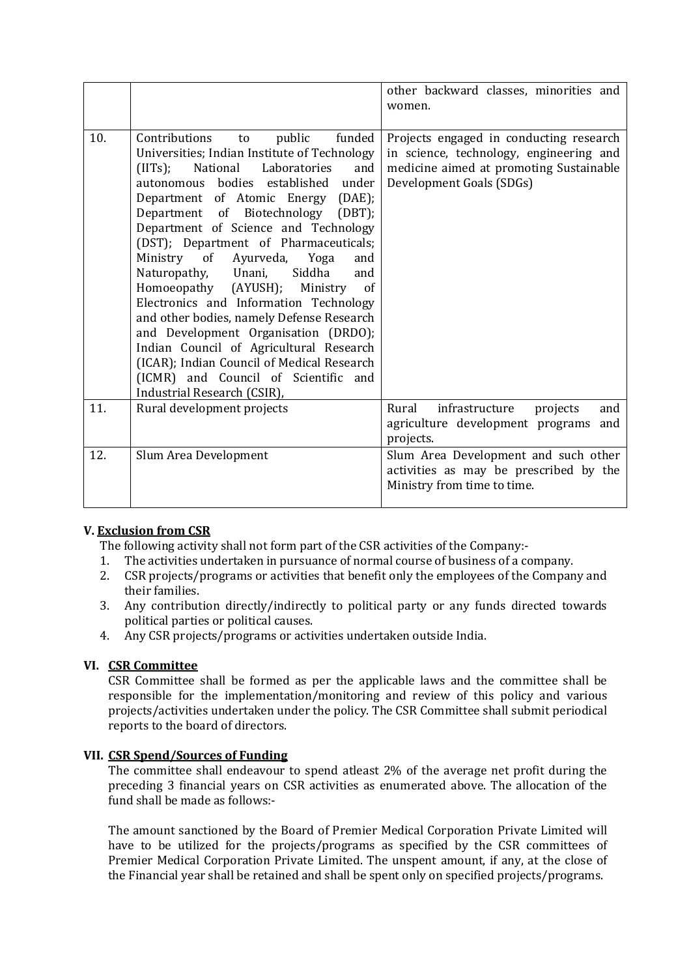|     |                                                                                                                                                                                                                                                                                                                                                                                                                                                                                                                                                                                                                                                                                                                                                                 | other backward classes, minorities and<br>women.                                                                                                          |
|-----|-----------------------------------------------------------------------------------------------------------------------------------------------------------------------------------------------------------------------------------------------------------------------------------------------------------------------------------------------------------------------------------------------------------------------------------------------------------------------------------------------------------------------------------------------------------------------------------------------------------------------------------------------------------------------------------------------------------------------------------------------------------------|-----------------------------------------------------------------------------------------------------------------------------------------------------------|
| 10. | public<br>Contributions<br>funded<br>to<br>Universities; Indian Institute of Technology<br>National Laboratories<br>(IIIs);<br>and<br>bodies established under<br>autonomous<br>Department of Atomic Energy (DAE);<br>Department of Biotechnology (DBT);<br>Department of Science and Technology<br>(DST); Department of Pharmaceuticals;<br>Ministry of Ayurveda, Yoga<br>and<br>Naturopathy, Unani,<br>Siddha<br>and<br>Homoeopathy (AYUSH);<br>Ministry<br>of<br>Electronics and Information Technology<br>and other bodies, namely Defense Research<br>and Development Organisation (DRDO);<br>Indian Council of Agricultural Research<br>(ICAR); Indian Council of Medical Research<br>(ICMR) and Council of Scientific and<br>Industrial Research (CSIR), | Projects engaged in conducting research<br>in science, technology, engineering and<br>medicine aimed at promoting Sustainable<br>Development Goals (SDGs) |
| 11. | Rural development projects                                                                                                                                                                                                                                                                                                                                                                                                                                                                                                                                                                                                                                                                                                                                      | infrastructure<br>Rural<br>projects<br>and<br>agriculture development programs<br>and<br>projects.                                                        |
| 12. | Slum Area Development                                                                                                                                                                                                                                                                                                                                                                                                                                                                                                                                                                                                                                                                                                                                           | Slum Area Development and such other<br>activities as may be prescribed by the<br>Ministry from time to time.                                             |

## **V.** Exclusion from CSR

The following activity shall not form part of the CSR activities of the Company:-

- 1. The activities undertaken in pursuance of normal course of business of a company.
- 2. CSR projects/programs or activities that benefit only the employees of the Company and their families.
- 3. Any contribution directly/indirectly to political party or any funds directed towards political parties or political causes.
- 4. Any CSR projects/programs or activities undertaken outside India.

#### **VI. CSR Committee**

CSR Committee shall be formed as per the applicable laws and the committee shall be responsible for the implementation/monitoring and review of this policy and various projects/activities undertaken under the policy. The CSR Committee shall submit periodical reports to the board of directors.

#### **VII. CSR Spend/Sources of Funding**

The committee shall endeavour to spend atleast 2% of the average net profit during the preceding 3 financial years on CSR activities as enumerated above. The allocation of the fund shall be made as follows:-

The amount sanctioned by the Board of Premier Medical Corporation Private Limited will have to be utilized for the projects/programs as specified by the CSR committees of Premier Medical Corporation Private Limited. The unspent amount, if any, at the close of the Financial year shall be retained and shall be spent only on specified projects/programs.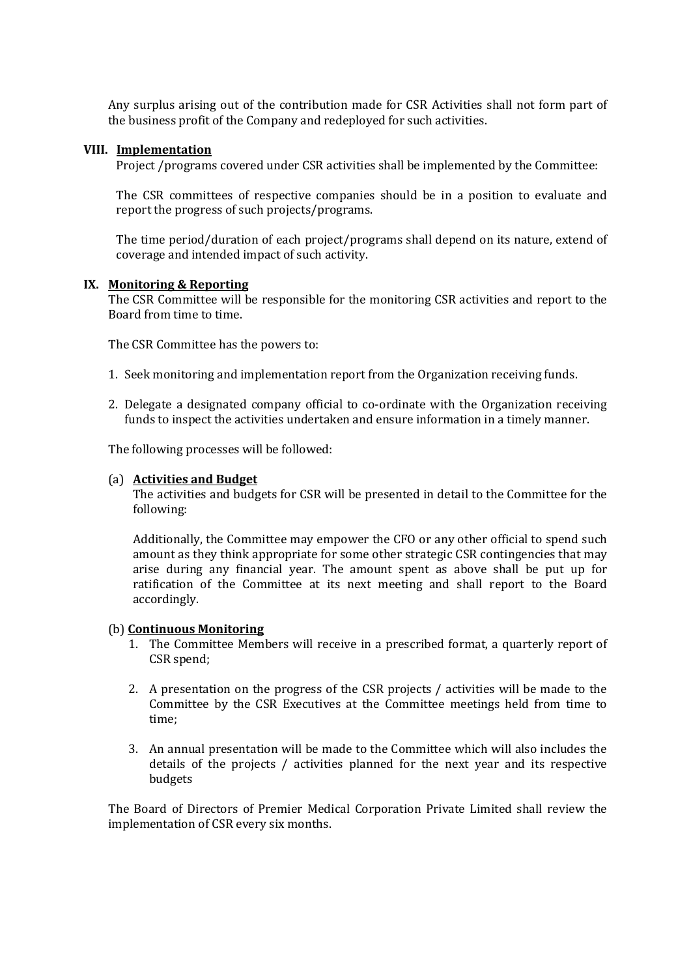Any surplus arising out of the contribution made for CSR Activities shall not form part of the business profit of the Company and redeployed for such activities.

#### **VIII. Implementation**

Project /programs covered under CSR activities shall be implemented by the Committee:

The CSR committees of respective companies should be in a position to evaluate and report the progress of such projects/programs.

The time period/duration of each project/programs shall depend on its nature, extend of coverage and intended impact of such activity.

#### **IX.** Monitoring & Reporting

The CSR Committee will be responsible for the monitoring CSR activities and report to the Board from time to time.

The CSR Committee has the powers to:

- 1. Seek monitoring and implementation report from the Organization receiving funds.
- 2. Delegate a designated company official to co-ordinate with the Organization receiving funds to inspect the activities undertaken and ensure information in a timely manner.

The following processes will be followed:

#### (a) **Activities and Budget**

The activities and budgets for CSR will be presented in detail to the Committee for the following:

Additionally, the Committee may empower the CFO or any other official to spend such amount as they think appropriate for some other strategic CSR contingencies that may arise during any financial year. The amount spent as above shall be put up for ratification of the Committee at its next meeting and shall report to the Board accordingly.

#### (b) **Continuous Monitoring**

- 1. The Committee Members will receive in a prescribed format, a quarterly report of CSR spend;
- 2. A presentation on the progress of the CSR projects / activities will be made to the Committee by the CSR Executives at the Committee meetings held from time to time;
- 3. An annual presentation will be made to the Committee which will also includes the details of the projects / activities planned for the next year and its respective budgets

The Board of Directors of Premier Medical Corporation Private Limited shall review the implementation of CSR every six months.